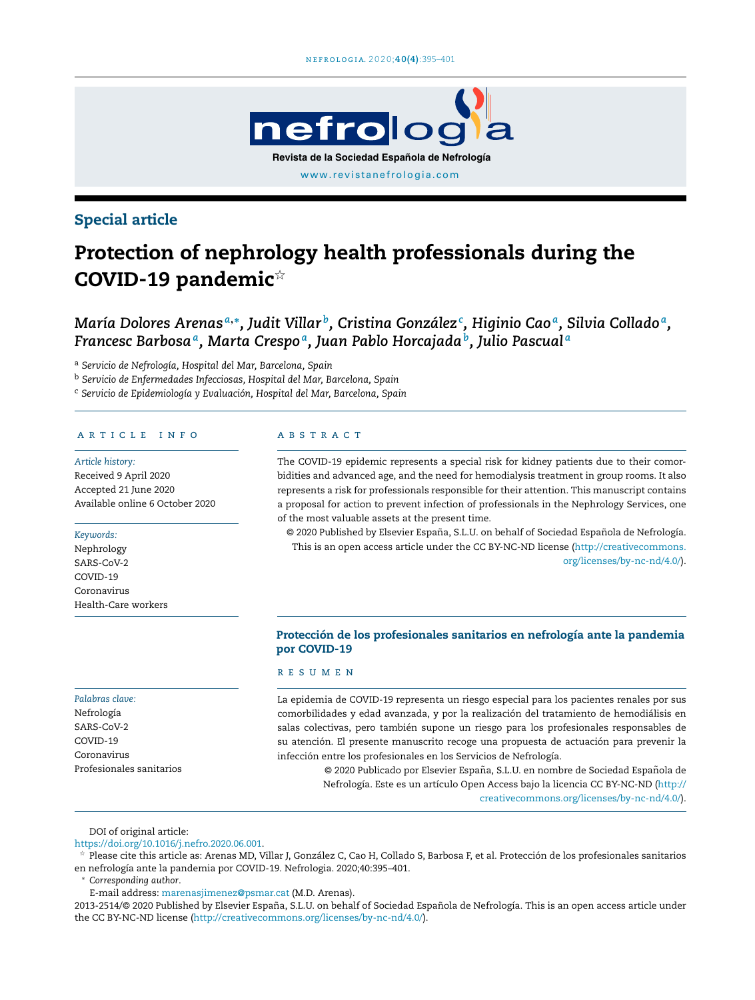

## Special article

# Protection of nephrology health professionals during the COVID-19 pandemic $^{\star}$

María Dolores Arenasª,\*, Judit Villarʰ, Cristina González<sup>c</sup>, Higinio Caoª, Silvia Colladoª, *Francesc Barbosa<sup>a</sup> , Marta Crespo <sup>a</sup> , Juan Pablo Horcajada<sup>b</sup> , Julio Pascual <sup>a</sup>*

<sup>a</sup> *Servicio de Nefrología, Hospital del Mar, Barcelona, Spain*

<sup>b</sup> *Servicio de Enfermedades Infecciosas, Hospital del Mar, Barcelona, Spain*

<sup>c</sup> *Servicio de Epidemiología y Evaluación, Hospital del Mar, Barcelona, Spain*

#### a r t i c l e i n f o

#### *Article history:*

Received 9 April 2020 Accepted 21 June 2020 Available online 6 October 2020

#### *Keywords:*

Nephrology SARS-CoV-2 COVID-19 Coronavirus Health-Care workers

*Palabras clave:* Nefrología SARS-CoV-2 COVID-19 Coronavirus

## A B S T R A C T

The COVID-19 epidemic represents a special risk for kidney patients due to their comorbidities and advanced age, and the need for hemodialysis treatment in group rooms. It also represents a risk for professionals responsible for their attention. This manuscript contains a proposal for action to prevent infection of professionals in the Nephrology Services, one of the most valuable assets at the present time.

© 2020 Published by Elsevier España, S.L.U. on behalf of Sociedad Española de Nefrología. This is an open access article under the CC BY-NC-ND license ([http://creativecommons.](http://creativecommons.org/licenses/by-nc-nd/4.0/) [org/licenses/by-nc-nd/4.0/\)](http://creativecommons.org/licenses/by-nc-nd/4.0/).

## Protección de los profesionales sanitarios en nefrología ante la pandemia por COVID-19

#### r e s u m e n

La epidemia de COVID-19 representa un riesgo especial para los pacientes renales por sus comorbilidades y edad avanzada, y por la realización del tratamiento de hemodiálisis en salas colectivas, pero también supone un riesgo para los profesionales responsables de su atención. El presente manuscrito recoge una propuesta de actuación para prevenir la infección entre los profesionales en los Servicios de Nefrología.

© 2020 Publicado por Elsevier España, S.L.U. en nombre de Sociedad Española de Nefrología. Este es un artículo Open Access bajo la licencia CC BY-NC-ND [\(http://](http://creativecommons.org/licenses/by-nc-nd/4.0/) [creativecommons.org/licenses/by-nc-nd/4.0/\)](http://creativecommons.org/licenses/by-nc-nd/4.0/).

#### DOI of original article:

Profesionales sanitarios

[https://doi.org/10.1016/j.nefro.2020.06.001.](https://doi.org/10.1016/j.nefro.2020.06.001)

 $^\star$  Please cite this article as: Arenas MD, Villar J, González C, Cao H, Collado S, Barbosa F, et al. Protección de los profesionales sanitarios en nefrología ante la pandemia por COVID-19. Nefrologia. 2020;40:395–401.

<sup>∗</sup> *Corresponding author*.

E-mail address: [marenasjimenez@psmar.cat](mailto:marenasjimenez@psmar.cat) (M.D. Arenas).

2013-2514/© 2020 Published by Elsevier España, S.L.U. on behalf of Sociedad Española de Nefrología. This is an open access article under the CC BY-NC-ND license [\(http://creativecommons.org/licenses/by-nc-nd/4.0/](http://creativecommons.org/licenses/by-nc-nd/4.0/)).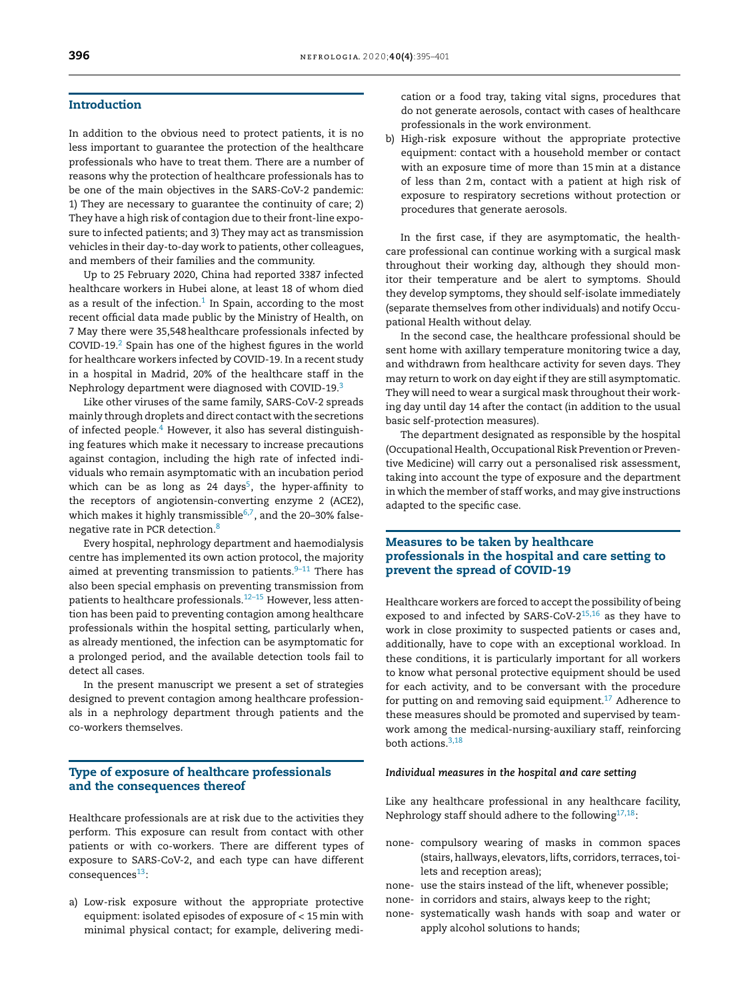## Introduction

In addition to the obvious need to protect patients, it is no less important to guarantee the protection of the healthcare professionals who have to treat them. There are a number of reasons why the protection of healthcare professionals has to be one of the main objectives in the SARS-CoV-2 pandemic: 1) They are necessary to guarantee the continuity of care; 2) They have a high risk of contagion due to their front-line exposure to infected patients; and 3) They may act as transmission vehicles in their day-to-day work to patients, other colleagues, and members of their families and the community.

Up to 25 February 2020, China had reported 3387 infected healthcare workers in Hubei alone, at least 18 of whom died as a result of the infection. $1$  In Spain, according to the most recent official data made public by the Ministry of Health, on 7 May there were 35,548healthcare professionals infected by COVID-19.[2](#page-5-0) Spain has one of the highest figures in the world for healthcare workers infected by COVID-19. In a recent study in a hospital in Madrid, 20% of the healthcare staff in the Nephrology department were diagnosed with COVID-19.[3](#page-5-0)

Like other viruses of the same family, SARS-CoV-2 spreads mainly through droplets and direct contact with the secretions of infected people. $4$  However, it also has several distinguishing features which make it necessary to increase precautions against contagion, including the high rate of infected individuals who remain asymptomatic with an incubation period which can be as long as 24 days<sup>[5](#page-5-0)</sup>, the hyper-affinity to the receptors of angiotensin-converting enzyme 2 (ACE2), which makes it highly transmissible<sup>[6,7](#page-5-0)</sup>, and the 20–30% falsenegative rate in PCR detection.[8](#page-5-0)

Every hospital, nephrology department and haemodialysis centre has implemented its own action protocol, the majority aimed at preventing transmission to patients.<sup>9-11</sup> There has also been special emphasis on preventing transmission from patients to healthcare professionals.[12–15](#page-5-0) However, less attention has been paid to preventing contagion among healthcare professionals within the hospital setting, particularly when, as already mentioned, the infection can be asymptomatic for a prolonged period, and the available detection tools fail to detect all cases.

In the present manuscript we present a set of strategies designed to prevent contagion among healthcare professionals in a nephrology department through patients and the co-workers themselves.

## Type of exposure of healthcare professionals and the consequences thereof

Healthcare professionals are at risk due to the activities they perform. This exposure can result from contact with other patients or with co-workers. There are different types of exposure to SARS-CoV-2, and each type can have different consequences $^{13}$  $^{13}$  $^{13}$ :

a) Low-risk exposure without the appropriate protective equipment: isolated episodes of exposure of < 15min with minimal physical contact; for example, delivering medication or a food tray, taking vital signs, procedures that do not generate aerosols, contact with cases of healthcare professionals in the work environment.

b) High-risk exposure without the appropriate protective equipment: contact with a household member or contact with an exposure time of more than 15min at a distance of less than 2 m, contact with a patient at high risk of exposure to respiratory secretions without protection or procedures that generate aerosols.

In the first case, if they are asymptomatic, the healthcare professional can continue working with a surgical mask throughout their working day, although they should monitor their temperature and be alert to symptoms. Should they develop symptoms, they should self-isolate immediately (separate themselves from other individuals) and notify Occupational Health without delay.

In the second case, the healthcare professional should be sent home with axillary temperature monitoring twice a day, and withdrawn from healthcare activity for seven days. They may return to work on day eight if they are still asymptomatic. They will need to wear a surgical mask throughout their working day until day 14 after the contact (in addition to the usual basic self-protection measures).

The department designated as responsible by the hospital (Occupational Health, Occupational Risk Prevention or Preventive Medicine) will carry out a personalised risk assessment, taking into account the type of exposure and the department in which the member of staff works, and may give instructions adapted to the specific case.

## Measures to be taken by healthcare professionals in the hospital and care setting to prevent the spread of COVID-19

Healthcare workers are forced to accept the possibility of being exposed to and infected by SARS-CoV-2[15,16](#page-5-0) as they have to work in close proximity to suspected patients or cases and, additionally, have to cope with an exceptional workload. In these conditions, it is particularly important for all workers to know what personal protective equipment should be used for each activity, and to be conversant with the procedure for putting on and removing said equipment. $17$  Adherence to these measures should be promoted and supervised by teamwork among the medical-nursing-auxiliary staff, reinforcing both actions.[3,18](#page-5-0)

#### *Individual measures in the hospital and care setting*

Like any healthcare professional in any healthcare facility, Nephrology staff should adhere to the following $17,18$ :

- none- compulsory wearing of masks in common spaces (stairs, hallways, elevators, lifts, corridors, terraces, toilets and reception areas);
- none- use the stairs instead of the lift, whenever possible;
- none- in corridors and stairs, always keep to the right;
- none- systematically wash hands with soap and water or apply alcohol solutions to hands;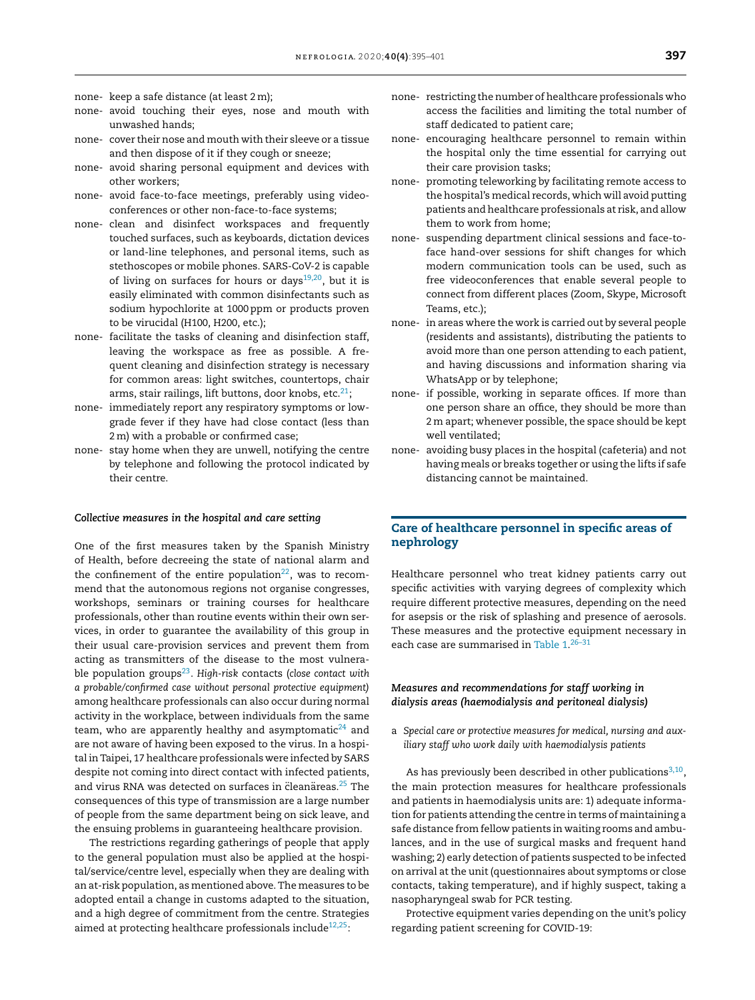- none- keep a safe distance (at least 2 m);
- none- avoid touching their eyes, nose and mouth with unwashed hands;
- none- cover their nose and mouth with their sleeve or a tissue and then dispose of it if they cough or sneeze;
- none- avoid sharing personal equipment and devices with other workers;
- none- avoid face-to-face meetings, preferably using videoconferences or other non-face-to-face systems;
- none- clean and disinfect workspaces and frequently touched surfaces, such as keyboards, dictation devices or land-line telephones, and personal items, such as stethoscopes or mobile phones. SARS-CoV-2 is capable of living on surfaces for hours or days<sup>[19,20](#page-6-0)</sup>, but it is easily eliminated with common disinfectants such as sodium hypochlorite at 1000 ppm or products proven to be virucidal (H100, H200, etc.);
- none- facilitate the tasks of cleaning and disinfection staff, leaving the workspace as free as possible. A frequent cleaning and disinfection strategy is necessary for common areas: light switches, countertops, chair arms, stair railings, lift buttons, door knobs, etc. $21$ ;
- none- immediately report any respiratory symptoms or lowgrade fever if they have had close contact (less than 2 m) with a probable or confirmed case;
- none- stay home when they are unwell, notifying the centre by telephone and following the protocol indicated by their centre.

#### *Collective measures in the hospital and care setting*

One of the first measures taken by the Spanish Ministry of Health, before decreeing the state of national alarm and the confinement of the entire population $^{22}$  $^{22}$  $^{22}$ , was to recommend that the autonomous regions not organise congresses, workshops, seminars or training courses for healthcare professionals, other than routine events within their own services, in order to guarantee the availability of this group in their usual care-provision services and prevent them from acting as transmitters of the disease to the most vulnerable population groups[23](#page-6-0) . *High-risk* contacts (*close contact with a probable/confirmed case without personal protective equipment)* among healthcare professionals can also occur during normal activity in the workplace, between individuals from the same team, who are apparently healthy and asymptomatic $^{24}$  $^{24}$  $^{24}$  and are not aware of having been exposed to the virus. In a hospital in Taipei, 17 healthcare professionals were infected by SARS despite not coming into direct contact with infected patients, and virus RNA was detected on surfaces in cleanäreas.<sup>[25](#page-6-0)</sup> The consequences of this type of transmission are a large number of people from the same department being on sick leave, and the ensuing problems in guaranteeing healthcare provision.

The restrictions regarding gatherings of people that apply to the general population must also be applied at the hospital/service/centre level, especially when they are dealing with an at-risk population, as mentioned above. The measures to be adopted entail a change in customs adapted to the situation, and a high degree of commitment from the centre. Strategies aimed at protecting healthcare professionals include $12,25$ :

- none- restricting the number of healthcare professionals who access the facilities and limiting the total number of staff dedicated to patient care;
- none- encouraging healthcare personnel to remain within the hospital only the time essential for carrying out their care provision tasks;
- none- promoting teleworking by facilitating remote access to the hospital's medical records, which will avoid putting patients and healthcare professionals at risk, and allow them to work from home;
- none- suspending department clinical sessions and face-toface hand-over sessions for shift changes for which modern communication tools can be used, such as free videoconferences that enable several people to connect from different places (Zoom, Skype, Microsoft Teams, etc.);
- none- in areas where the work is carried out by several people (residents and assistants), distributing the patients to avoid more than one person attending to each patient, and having discussions and information sharing via WhatsApp or by telephone;
- none- if possible, working in separate offices. If more than one person share an office, they should be more than 2m apart; whenever possible, the space should be kept well ventilated;
- none- avoiding busy places in the hospital (cafeteria) and not having meals or breaks together or using the lifts if safe distancing cannot be maintained.

## Care of healthcare personnel in specific areas of nephrology

Healthcare personnel who treat kidney patients carry out specific activities with varying degrees of complexity which require different protective measures, depending on the need for asepsis or the risk of splashing and presence of aerosols. These measures and the protective equipment necessary in each case are summarised in [Table](#page-3-0) 1. [26–31](#page-6-0)

## *Measures and recommendations for staff working in dialysis areas (haemodialysis and peritoneal dialysis)*

a *Special care or protective measures for medical, nursing and auxiliary staff who work daily with haemodialysis patients*

As has previously been described in other publications $^{3,10},$  $^{3,10},$  $^{3,10},$ the main protection measures for healthcare professionals and patients in haemodialysis units are: 1) adequate information for patients attending the centre in terms of maintaining a safe distance from fellow patients in waiting rooms and ambulances, and in the use of surgical masks and frequent hand washing; 2) early detection of patients suspected to be infected on arrival at the unit (questionnaires about symptoms or close contacts, taking temperature), and if highly suspect, taking a nasopharyngeal swab for PCR testing.

Protective equipment varies depending on the unit's policy regarding patient screening for COVID-19: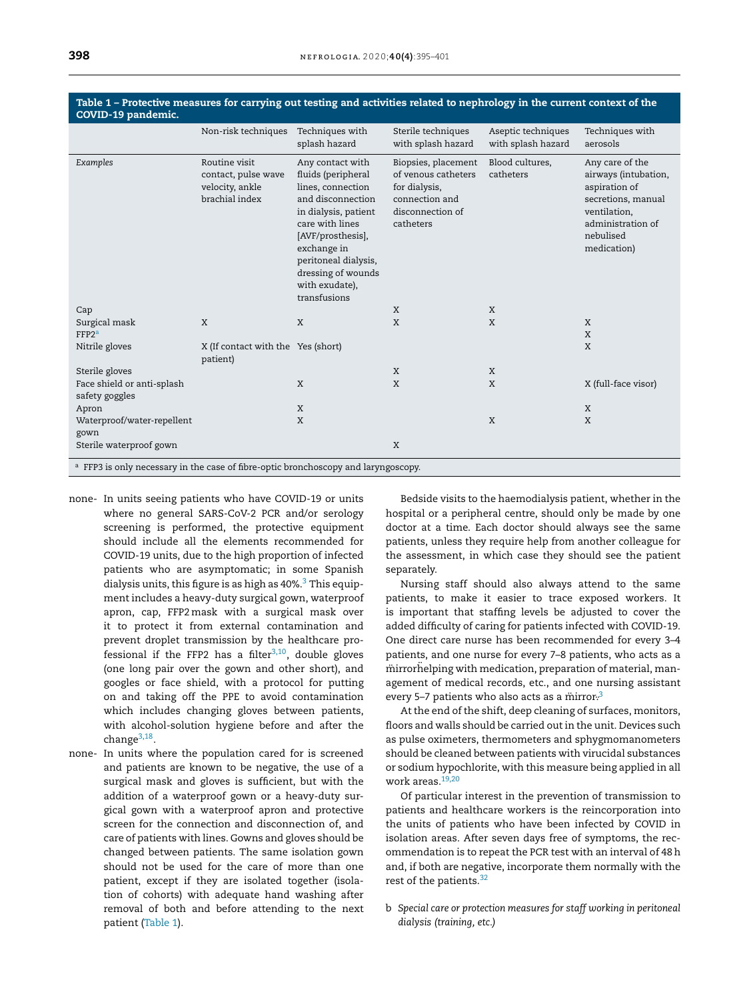| <b>OOVID 10 pailweiling</b>                                                                   |                                                                           |                                                                                                                                                                                                                                                 |                                                                                                                |                                          |                                                                                                                                                 |
|-----------------------------------------------------------------------------------------------|---------------------------------------------------------------------------|-------------------------------------------------------------------------------------------------------------------------------------------------------------------------------------------------------------------------------------------------|----------------------------------------------------------------------------------------------------------------|------------------------------------------|-------------------------------------------------------------------------------------------------------------------------------------------------|
|                                                                                               | Non-risk techniques                                                       | Techniques with<br>splash hazard                                                                                                                                                                                                                | Sterile techniques<br>with splash hazard                                                                       | Aseptic techniques<br>with splash hazard | Techniques with<br>aerosols                                                                                                                     |
| Examples                                                                                      | Routine visit<br>contact, pulse wave<br>velocity, ankle<br>brachial index | Any contact with<br>fluids (peripheral<br>lines, connection<br>and disconnection<br>in dialysis, patient<br>care with lines<br>[AVF/prosthesis],<br>exchange in<br>peritoneal dialysis,<br>dressing of wounds<br>with exudate),<br>transfusions | Biopsies, placement<br>of venous catheters<br>for dialysis,<br>connection and<br>disconnection of<br>catheters | Blood cultures,<br>catheters             | Any care of the<br>airways (intubation,<br>aspiration of<br>secretions, manual<br>ventilation,<br>administration of<br>nebulised<br>medication) |
| Cap                                                                                           |                                                                           |                                                                                                                                                                                                                                                 | X                                                                                                              | X                                        |                                                                                                                                                 |
| Surgical mask<br>FFP2 <sup>a</sup>                                                            | X                                                                         | X                                                                                                                                                                                                                                               | X                                                                                                              | X                                        | X<br>X                                                                                                                                          |
| Nitrile gloves                                                                                | X (If contact with the Yes (short)<br>patient)                            |                                                                                                                                                                                                                                                 |                                                                                                                |                                          | X                                                                                                                                               |
| Sterile gloves                                                                                |                                                                           |                                                                                                                                                                                                                                                 | X                                                                                                              | X                                        |                                                                                                                                                 |
| Face shield or anti-splash<br>safety goggles                                                  |                                                                           | X                                                                                                                                                                                                                                               | X                                                                                                              | X                                        | X (full-face visor)                                                                                                                             |
| Apron                                                                                         |                                                                           | X                                                                                                                                                                                                                                               |                                                                                                                |                                          | X                                                                                                                                               |
| Waterproof/water-repellent<br>gown                                                            |                                                                           | X                                                                                                                                                                                                                                               |                                                                                                                | X                                        | X                                                                                                                                               |
| Sterile waterproof gown                                                                       |                                                                           |                                                                                                                                                                                                                                                 | X                                                                                                              |                                          |                                                                                                                                                 |
| <sup>a</sup> FFP3 is only necessary in the case of fibre-optic bronchoscopy and laryngoscopy. |                                                                           |                                                                                                                                                                                                                                                 |                                                                                                                |                                          |                                                                                                                                                 |

<span id="page-3-0"></span>Table 1 – Protective measures for carrying out testing and activities related to nephrology in the current context of the COVID-19 pandemic.

none- In units seeing patients who have COVID-19 or units where no general SARS-CoV-2 PCR and/or serology screening is performed, the protective equipment should include all the elements recommended for COVID-19 units, due to the high proportion of infected patients who are asymptomatic; in some Spanish dialysis units, this figure is as high as 40%.<sup>3</sup> [T](#page-5-0)his equipment includes a heavy-duty surgical gown, waterproof apron, cap, FFP2mask with a surgical mask over it to protect it from external contamination and prevent droplet transmission by the healthcare pro-fessional if the FFP2 has a filter<sup>[3,10](#page-5-0)</sup>, double gloves (one long pair over the gown and other short), and googles or face shield, with a protocol for putting on and taking off the PPE to avoid contamination which includes changing gloves between patients, with alcohol-solution hygiene before and after the change<sup>[3,18](#page-5-0)</sup>.

none- In units where the population cared for is screened and patients are known to be negative, the use of a surgical mask and gloves is sufficient, but with the addition of a waterproof gown or a heavy-duty surgical gown with a waterproof apron and protective screen for the connection and disconnection of, and care of patients with lines. Gowns and gloves should be changed between patients. The same isolation gown should not be used for the care of more than one patient, except if they are isolated together (isolation of cohorts) with adequate hand washing after removal of both and before attending to the next patient (Table 1).

Bedside visits to the haemodialysis patient, whether in the hospital or a peripheral centre, should only be made by one doctor at a time. Each doctor should always see the same patients, unless they require help from another colleague for the assessment, in which case they should see the patient separately.

Nursing staff should also always attend to the same patients, to make it easier to trace exposed workers. It is important that staffing levels be adjusted to cover the added difficulty of caring for patients infected with COVID-19. One direct care nurse has been recommended for every 3–4 patients, and one nurse for every 7–8 patients, who acts as a mirrorhelping with medication, preparation of material, management of medical records, etc., and one nursing assistant every 5–7 patients who also acts as a mirror. $^3$  $^3$ 

At the end of the shift, deep cleaning of surfaces, monitors, floors and walls should be carried out in the unit. Devices such as pulse oximeters, thermometers and sphygmomanometers should be cleaned between patients with virucidal substances or sodium hypochlorite, with this measure being applied in all work areas.[19,20](#page-6-0)

Of particular interest in the prevention of transmission to patients and healthcare workers is the reincorporation into the units of patients who have been infected by COVID in isolation areas. After seven days free of symptoms, the recommendation is to repeat the PCR test with an interval of 48h and, if both are negative, incorporate them normally with the rest of the patients.<sup>[32](#page-6-0)</sup>

b *Special care or protection measures for staff working in peritoneal dialysis (training, etc.)*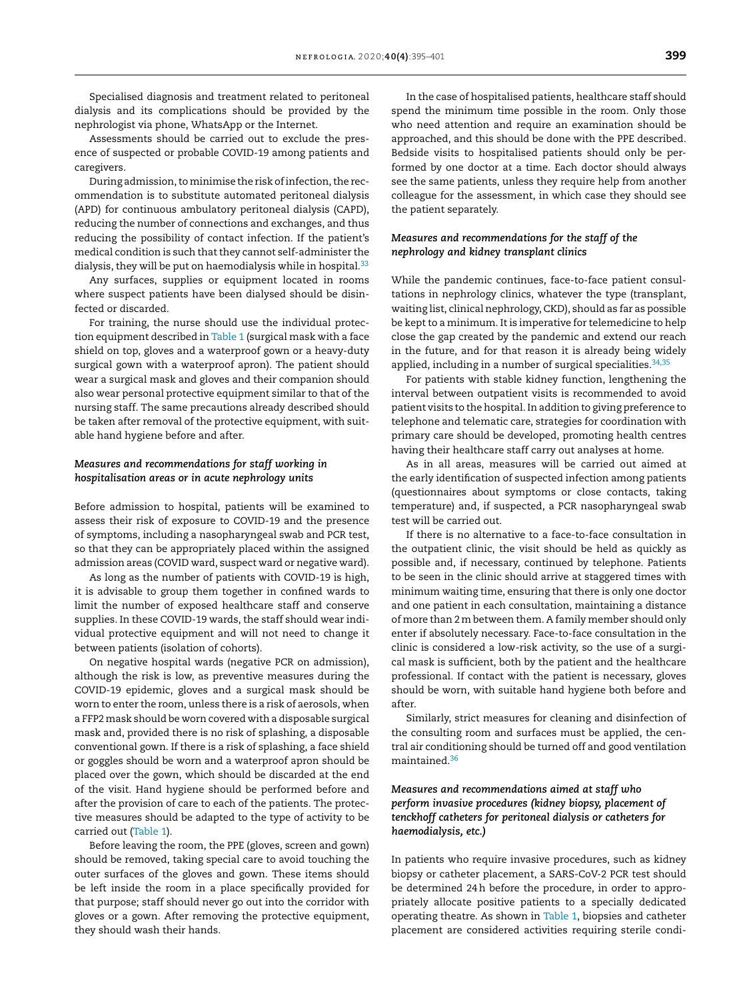Specialised diagnosis and treatment related to peritoneal dialysis and its complications should be provided by the nephrologist via phone, WhatsApp or the Internet.

Assessments should be carried out to exclude the presence of suspected or probable COVID-19 among patients and caregivers.

During admission, to minimise the risk of infection, the recommendation is to substitute automated peritoneal dialysis (APD) for continuous ambulatory peritoneal dialysis (CAPD), reducing the number of connections and exchanges, and thus reducing the possibility of contact infection. If the patient's medical condition is such that they cannot self-administer the dialysis, they will be put on haemodialysis while in hospital. $33$ 

Any surfaces, supplies or equipment located in rooms where suspect patients have been dialysed should be disinfected or discarded.

For training, the nurse should use the individual protection equipment described in [Table](#page-3-0) 1 (surgical mask with a face shield on top, gloves and a waterproof gown or a heavy-duty surgical gown with a waterproof apron). The patient should wear a surgical mask and gloves and their companion should also wear personal protective equipment similar to that of the nursing staff. The same precautions already described should be taken after removal of the protective equipment, with suitable hand hygiene before and after.

## *Measures and recommendations for staff working in hospitalisation areas or in acute nephrology units*

Before admission to hospital, patients will be examined to assess their risk of exposure to COVID-19 and the presence of symptoms, including a nasopharyngeal swab and PCR test, so that they can be appropriately placed within the assigned admission areas (COVID ward, suspect ward or negative ward).

As long as the number of patients with COVID-19 is high, it is advisable to group them together in confined wards to limit the number of exposed healthcare staff and conserve supplies. In these COVID-19 wards, the staff should wear individual protective equipment and will not need to change it between patients (isolation of cohorts).

On negative hospital wards (negative PCR on admission), although the risk is low, as preventive measures during the COVID-19 epidemic, gloves and a surgical mask should be worn to enter the room, unless there is a risk of aerosols, when a FFP2mask should be worn covered with a disposable surgical mask and, provided there is no risk of splashing, a disposable conventional gown. If there is a risk of splashing, a face shield or goggles should be worn and a waterproof apron should be placed over the gown, which should be discarded at the end of the visit. Hand hygiene should be performed before and after the provision of care to each of the patients. The protective measures should be adapted to the type of activity to be carried out [\(Table](#page-3-0) 1).

Before leaving the room, the PPE (gloves, screen and gown) should be removed, taking special care to avoid touching the outer surfaces of the gloves and gown. These items should be left inside the room in a place specifically provided for that purpose; staff should never go out into the corridor with gloves or a gown. After removing the protective equipment, they should wash their hands.

In the case of hospitalised patients, healthcare staff should spend the minimum time possible in the room. Only those who need attention and require an examination should be approached, and this should be done with the PPE described. Bedside visits to hospitalised patients should only be performed by one doctor at a time. Each doctor should always see the same patients, unless they require help from another colleague for the assessment, in which case they should see the patient separately.

#### *Measures and recommendations for the staff of the nephrology and kidney transplant clinics*

While the pandemic continues, face-to-face patient consultations in nephrology clinics, whatever the type (transplant, waiting list, clinical nephrology, CKD), should as far as possible be kept to a minimum. It is imperative for telemedicine to help close the gap created by the pandemic and extend our reach in the future, and for that reason it is already being widely applied, including in a number of surgical specialities.<sup>[34,35](#page-6-0)</sup>

For patients with stable kidney function, lengthening the interval between outpatient visits is recommended to avoid patient visits to the hospital. In addition to giving preference to telephone and telematic care, strategies for coordination with primary care should be developed, promoting health centres having their healthcare staff carry out analyses at home.

As in all areas, measures will be carried out aimed at the early identification of suspected infection among patients (questionnaires about symptoms or close contacts, taking temperature) and, if suspected, a PCR nasopharyngeal swab test will be carried out.

If there is no alternative to a face-to-face consultation in the outpatient clinic, the visit should be held as quickly as possible and, if necessary, continued by telephone. Patients to be seen in the clinic should arrive at staggered times with minimum waiting time, ensuring that there is only one doctor and one patient in each consultation, maintaining a distance of more than 2 m between them. A family member should only enter if absolutely necessary. Face-to-face consultation in the clinic is considered a low-risk activity, so the use of a surgical mask is sufficient, both by the patient and the healthcare professional. If contact with the patient is necessary, gloves should be worn, with suitable hand hygiene both before and after.

Similarly, strict measures for cleaning and disinfection of the consulting room and surfaces must be applied, the central air conditioning should be turned off and good ventilation maintained.[36](#page-6-0)

## *Measures and recommendations aimed at staff who perform invasive procedures (kidney biopsy, placement of tenckhoff catheters for peritoneal dialysis or catheters for haemodialysis, etc.)*

In patients who require invasive procedures, such as kidney biopsy or catheter placement, a SARS-CoV-2 PCR test should be determined 24h before the procedure, in order to appropriately allocate positive patients to a specially dedicated operating theatre. As shown in [Table](#page-3-0) 1, biopsies and catheter placement are considered activities requiring sterile condi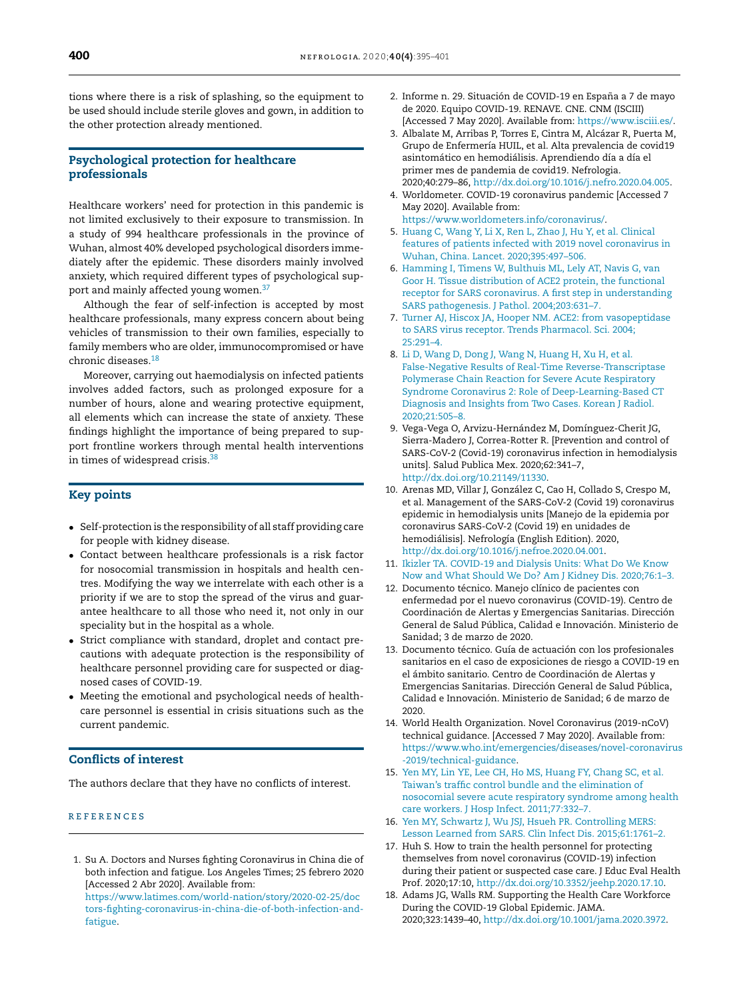<span id="page-5-0"></span>tions where there is a risk of splashing, so the equipment to be used should include sterile gloves and gown, in addition to the other protection already mentioned.

## Psychological protection for healthcare professionals

Healthcare workers' need for protection in this pandemic is not limited exclusively to their exposure to transmission. In a study of 994 healthcare professionals in the province of Wuhan, almost 40% developed psychological disorders immediately after the epidemic. These disorders mainly involved anxiety, which required different types of psychological sup-port and mainly affected young women.<sup>[37](#page-6-0)</sup>

Although the fear of self-infection is accepted by most healthcare professionals, many express concern about being vehicles of transmission to their own families, especially to family members who are older, immunocompromised or have chronic diseases.<sup>18</sup>

Moreover, carrying out haemodialysis on infected patients involves added factors, such as prolonged exposure for a number of hours, alone and wearing protective equipment, all elements which can increase the state of anxiety. These findings highlight the importance of being prepared to support frontline workers through mental health interventions in times of widespread crisis. $38$ 

## Key points

- Self-protection is the responsibility of all staff providing care for people with kidney disease.
- Contact between healthcare professionals is a risk factor for nosocomial transmission in hospitals and health centres. Modifying the way we interrelate with each other is a priority if we are to stop the spread of the virus and guarantee healthcare to all those who need it, not only in our speciality but in the hospital as a whole.
- Strict compliance with standard, droplet and contact precautions with adequate protection is the responsibility of healthcare personnel providing care for suspected or diagnosed cases of COVID-19.
- Meeting the emotional and psychological needs of healthcare personnel is essential in crisis situations such as the current pandemic.

## Conflicts of interest

The authors declare that they have no conflicts of interest.

#### **REFERENCES**

1. Su A. Doctors and Nurses fighting Coronavirus in China die of both infection and fatigue. Los Angeles Times; 25 febrero 2020 [Accessed 2 Abr 2020]. Available from: [https://www.latimes.com/world-nation/story/2020-02-25/doc](https://www.latimes.com/world-nation/story/2020-02-25/doctors-fighting-coronavirus-in-china-die-of-both-infection-and-fatigue)

[tors-fighting-coronavirus-in-china-die-of-both-infection-and](https://www.latimes.com/world-nation/story/2020-02-25/doctors-fighting-coronavirus-in-china-die-of-both-infection-and-fatigue)[fatigue](https://www.latimes.com/world-nation/story/2020-02-25/doctors-fighting-coronavirus-in-china-die-of-both-infection-and-fatigue).

- 2. Informe n. 29. Situación de COVID-19 en España a 7 de mayo de 2020. Equipo COVID-19. RENAVE. CNE. CNM (ISCIII) [Accessed 7 May 2020]. Available from: <https://www.isciii.es/>.
- 3. Albalate M, Arribas P, Torres E, Cintra M, Alcázar R, Puerta M, Grupo de Enfermería HUIL, et al. Alta prevalencia de covid19 asintomático en hemodiálisis. Aprendiendo día a día el primer mes de pandemia de covid19. Nefrologia. 2020;40:279–86, [http://dx.doi.org/10.1016/j.nefro.2020.04.005.](dx.doi.org/10.1016/j.nefro.2020.04.005)
- 4. Worldometer. COVID-19 coronavirus pandemic [Accessed 7 May 2020]. Available from: [https://www.worldometers.info/coronavirus/.](https://www.worldometers.info/coronavirus/)
- 5. [Huang](http://refhub.elsevier.com/S2013-2514(20)30106-1/sbref0010) [C,](http://refhub.elsevier.com/S2013-2514(20)30106-1/sbref0010) [Wang](http://refhub.elsevier.com/S2013-2514(20)30106-1/sbref0010) [Y,](http://refhub.elsevier.com/S2013-2514(20)30106-1/sbref0010) [Li](http://refhub.elsevier.com/S2013-2514(20)30106-1/sbref0010) [X,](http://refhub.elsevier.com/S2013-2514(20)30106-1/sbref0010) [Ren](http://refhub.elsevier.com/S2013-2514(20)30106-1/sbref0010) [L,](http://refhub.elsevier.com/S2013-2514(20)30106-1/sbref0010) [Zhao](http://refhub.elsevier.com/S2013-2514(20)30106-1/sbref0010) [J,](http://refhub.elsevier.com/S2013-2514(20)30106-1/sbref0010) [Hu](http://refhub.elsevier.com/S2013-2514(20)30106-1/sbref0010) [Y,](http://refhub.elsevier.com/S2013-2514(20)30106-1/sbref0010) [et](http://refhub.elsevier.com/S2013-2514(20)30106-1/sbref0010) [al.](http://refhub.elsevier.com/S2013-2514(20)30106-1/sbref0010) [Clinical](http://refhub.elsevier.com/S2013-2514(20)30106-1/sbref0010) [features](http://refhub.elsevier.com/S2013-2514(20)30106-1/sbref0010) [of](http://refhub.elsevier.com/S2013-2514(20)30106-1/sbref0010) [patients](http://refhub.elsevier.com/S2013-2514(20)30106-1/sbref0010) [infected](http://refhub.elsevier.com/S2013-2514(20)30106-1/sbref0010) [with](http://refhub.elsevier.com/S2013-2514(20)30106-1/sbref0010) [2019](http://refhub.elsevier.com/S2013-2514(20)30106-1/sbref0010) [novel](http://refhub.elsevier.com/S2013-2514(20)30106-1/sbref0010) [coronavirus](http://refhub.elsevier.com/S2013-2514(20)30106-1/sbref0010) [in](http://refhub.elsevier.com/S2013-2514(20)30106-1/sbref0010) [Wuhan,](http://refhub.elsevier.com/S2013-2514(20)30106-1/sbref0010) [China.](http://refhub.elsevier.com/S2013-2514(20)30106-1/sbref0010) [Lancet.](http://refhub.elsevier.com/S2013-2514(20)30106-1/sbref0010) [2020;395:497](http://refhub.elsevier.com/S2013-2514(20)30106-1/sbref0010)–[506.](http://refhub.elsevier.com/S2013-2514(20)30106-1/sbref0010)
- 6. [Hamming](http://refhub.elsevier.com/S2013-2514(20)30106-1/sbref0015) [I,](http://refhub.elsevier.com/S2013-2514(20)30106-1/sbref0015) [Timens](http://refhub.elsevier.com/S2013-2514(20)30106-1/sbref0015) [W,](http://refhub.elsevier.com/S2013-2514(20)30106-1/sbref0015) [Bulthuis](http://refhub.elsevier.com/S2013-2514(20)30106-1/sbref0015) [ML,](http://refhub.elsevier.com/S2013-2514(20)30106-1/sbref0015) [Lely](http://refhub.elsevier.com/S2013-2514(20)30106-1/sbref0015) [AT,](http://refhub.elsevier.com/S2013-2514(20)30106-1/sbref0015) [Navis](http://refhub.elsevier.com/S2013-2514(20)30106-1/sbref0015) [G,](http://refhub.elsevier.com/S2013-2514(20)30106-1/sbref0015) [van](http://refhub.elsevier.com/S2013-2514(20)30106-1/sbref0015) [Goor](http://refhub.elsevier.com/S2013-2514(20)30106-1/sbref0015) [H.](http://refhub.elsevier.com/S2013-2514(20)30106-1/sbref0015) [Tissue](http://refhub.elsevier.com/S2013-2514(20)30106-1/sbref0015) [distribution](http://refhub.elsevier.com/S2013-2514(20)30106-1/sbref0015) [of](http://refhub.elsevier.com/S2013-2514(20)30106-1/sbref0015) [ACE2](http://refhub.elsevier.com/S2013-2514(20)30106-1/sbref0015) [protein,](http://refhub.elsevier.com/S2013-2514(20)30106-1/sbref0015) [the](http://refhub.elsevier.com/S2013-2514(20)30106-1/sbref0015) [functional](http://refhub.elsevier.com/S2013-2514(20)30106-1/sbref0015) [receptor](http://refhub.elsevier.com/S2013-2514(20)30106-1/sbref0015) [for](http://refhub.elsevier.com/S2013-2514(20)30106-1/sbref0015) [SARS](http://refhub.elsevier.com/S2013-2514(20)30106-1/sbref0015) [coronavirus.](http://refhub.elsevier.com/S2013-2514(20)30106-1/sbref0015) [A](http://refhub.elsevier.com/S2013-2514(20)30106-1/sbref0015) [first](http://refhub.elsevier.com/S2013-2514(20)30106-1/sbref0015) [step](http://refhub.elsevier.com/S2013-2514(20)30106-1/sbref0015) [in](http://refhub.elsevier.com/S2013-2514(20)30106-1/sbref0015) [understanding](http://refhub.elsevier.com/S2013-2514(20)30106-1/sbref0015) [SARS](http://refhub.elsevier.com/S2013-2514(20)30106-1/sbref0015) [pathogenesis.](http://refhub.elsevier.com/S2013-2514(20)30106-1/sbref0015) [J](http://refhub.elsevier.com/S2013-2514(20)30106-1/sbref0015) [Pathol.](http://refhub.elsevier.com/S2013-2514(20)30106-1/sbref0015) [2004;203:631](http://refhub.elsevier.com/S2013-2514(20)30106-1/sbref0015)–[7.](http://refhub.elsevier.com/S2013-2514(20)30106-1/sbref0015)
- 7. [Turner](http://refhub.elsevier.com/S2013-2514(20)30106-1/sbref0020) [AJ,](http://refhub.elsevier.com/S2013-2514(20)30106-1/sbref0020) [Hiscox](http://refhub.elsevier.com/S2013-2514(20)30106-1/sbref0020) [JA,](http://refhub.elsevier.com/S2013-2514(20)30106-1/sbref0020) [Hooper](http://refhub.elsevier.com/S2013-2514(20)30106-1/sbref0020) [NM.](http://refhub.elsevier.com/S2013-2514(20)30106-1/sbref0020) [ACE2:](http://refhub.elsevier.com/S2013-2514(20)30106-1/sbref0020) [from](http://refhub.elsevier.com/S2013-2514(20)30106-1/sbref0020) [vasopeptidase](http://refhub.elsevier.com/S2013-2514(20)30106-1/sbref0020) [to](http://refhub.elsevier.com/S2013-2514(20)30106-1/sbref0020) [SARS](http://refhub.elsevier.com/S2013-2514(20)30106-1/sbref0020) [virus](http://refhub.elsevier.com/S2013-2514(20)30106-1/sbref0020) [receptor.](http://refhub.elsevier.com/S2013-2514(20)30106-1/sbref0020) [Trends](http://refhub.elsevier.com/S2013-2514(20)30106-1/sbref0020) [Pharmacol.](http://refhub.elsevier.com/S2013-2514(20)30106-1/sbref0020) [Sci.](http://refhub.elsevier.com/S2013-2514(20)30106-1/sbref0020) [2004;](http://refhub.elsevier.com/S2013-2514(20)30106-1/sbref0020) [25:291–4.](http://refhub.elsevier.com/S2013-2514(20)30106-1/sbref0020)
- 8. [Li](http://refhub.elsevier.com/S2013-2514(20)30106-1/sbref0025) [D,](http://refhub.elsevier.com/S2013-2514(20)30106-1/sbref0025) [Wang](http://refhub.elsevier.com/S2013-2514(20)30106-1/sbref0025) [D,](http://refhub.elsevier.com/S2013-2514(20)30106-1/sbref0025) [Dong](http://refhub.elsevier.com/S2013-2514(20)30106-1/sbref0025) [J,](http://refhub.elsevier.com/S2013-2514(20)30106-1/sbref0025) [Wang](http://refhub.elsevier.com/S2013-2514(20)30106-1/sbref0025) [N,](http://refhub.elsevier.com/S2013-2514(20)30106-1/sbref0025) [Huang](http://refhub.elsevier.com/S2013-2514(20)30106-1/sbref0025) [H,](http://refhub.elsevier.com/S2013-2514(20)30106-1/sbref0025) [Xu](http://refhub.elsevier.com/S2013-2514(20)30106-1/sbref0025) [H,](http://refhub.elsevier.com/S2013-2514(20)30106-1/sbref0025) [et](http://refhub.elsevier.com/S2013-2514(20)30106-1/sbref0025) [al.](http://refhub.elsevier.com/S2013-2514(20)30106-1/sbref0025) [False-Negative](http://refhub.elsevier.com/S2013-2514(20)30106-1/sbref0025) [Results](http://refhub.elsevier.com/S2013-2514(20)30106-1/sbref0025) [of](http://refhub.elsevier.com/S2013-2514(20)30106-1/sbref0025) [Real-Time](http://refhub.elsevier.com/S2013-2514(20)30106-1/sbref0025) [Reverse-Transcriptase](http://refhub.elsevier.com/S2013-2514(20)30106-1/sbref0025) [Polymerase](http://refhub.elsevier.com/S2013-2514(20)30106-1/sbref0025) [Chain](http://refhub.elsevier.com/S2013-2514(20)30106-1/sbref0025) [Reaction](http://refhub.elsevier.com/S2013-2514(20)30106-1/sbref0025) [for](http://refhub.elsevier.com/S2013-2514(20)30106-1/sbref0025) [Severe](http://refhub.elsevier.com/S2013-2514(20)30106-1/sbref0025) [Acute](http://refhub.elsevier.com/S2013-2514(20)30106-1/sbref0025) [Respiratory](http://refhub.elsevier.com/S2013-2514(20)30106-1/sbref0025) [Syndrome](http://refhub.elsevier.com/S2013-2514(20)30106-1/sbref0025) [Coronavirus](http://refhub.elsevier.com/S2013-2514(20)30106-1/sbref0025) [2:](http://refhub.elsevier.com/S2013-2514(20)30106-1/sbref0025) [Role](http://refhub.elsevier.com/S2013-2514(20)30106-1/sbref0025) [of](http://refhub.elsevier.com/S2013-2514(20)30106-1/sbref0025) [Deep-Learning-Based](http://refhub.elsevier.com/S2013-2514(20)30106-1/sbref0025) [CT](http://refhub.elsevier.com/S2013-2514(20)30106-1/sbref0025) [Diagnosis](http://refhub.elsevier.com/S2013-2514(20)30106-1/sbref0025) [and](http://refhub.elsevier.com/S2013-2514(20)30106-1/sbref0025) [Insights](http://refhub.elsevier.com/S2013-2514(20)30106-1/sbref0025) [from](http://refhub.elsevier.com/S2013-2514(20)30106-1/sbref0025) [Two](http://refhub.elsevier.com/S2013-2514(20)30106-1/sbref0025) [Cases.](http://refhub.elsevier.com/S2013-2514(20)30106-1/sbref0025) [Korean](http://refhub.elsevier.com/S2013-2514(20)30106-1/sbref0025) [J](http://refhub.elsevier.com/S2013-2514(20)30106-1/sbref0025) [Radiol.](http://refhub.elsevier.com/S2013-2514(20)30106-1/sbref0025) [2020;21:505–8.](http://refhub.elsevier.com/S2013-2514(20)30106-1/sbref0025)
- 9. Vega-Vega O, Arvizu-Hernández M, Domínguez-Cherit JG, Sierra-Madero J, Correa-Rotter R. [Prevention and control of SARS-CoV-2 (Covid-19) coronavirus infection in hemodialysis units]. Salud Publica Mex. 2020;62:341–7, [http://dx.doi.org/10.21149/11330.](dx.doi.org/10.21149/11330)
- 10. Arenas MD, Villar J, González C, Cao H, Collado S, Crespo M, et al. Management of the SARS-CoV-2 (Covid 19) coronavirus epidemic in hemodialysis units [Manejo de la epidemia por coronavirus SARS-CoV-2 (Covid 19) en unidades de hemodiálisis]. Nefrología (English Edition). 2020, [http://dx.doi.org/10.1016/j.nefroe.2020.04.001](dx.doi.org/10.1016/j.nefroe.2020.04.001).
- 11. [Ikizler](http://refhub.elsevier.com/S2013-2514(20)30106-1/sbref0040) [TA.](http://refhub.elsevier.com/S2013-2514(20)30106-1/sbref0040) [COVID-19](http://refhub.elsevier.com/S2013-2514(20)30106-1/sbref0040) [and](http://refhub.elsevier.com/S2013-2514(20)30106-1/sbref0040) [Dialysis](http://refhub.elsevier.com/S2013-2514(20)30106-1/sbref0040) [Units:](http://refhub.elsevier.com/S2013-2514(20)30106-1/sbref0040) [What](http://refhub.elsevier.com/S2013-2514(20)30106-1/sbref0040) [Do](http://refhub.elsevier.com/S2013-2514(20)30106-1/sbref0040) [We](http://refhub.elsevier.com/S2013-2514(20)30106-1/sbref0040) [Know](http://refhub.elsevier.com/S2013-2514(20)30106-1/sbref0040) [Now](http://refhub.elsevier.com/S2013-2514(20)30106-1/sbref0040) [and](http://refhub.elsevier.com/S2013-2514(20)30106-1/sbref0040) [What](http://refhub.elsevier.com/S2013-2514(20)30106-1/sbref0040) [Should](http://refhub.elsevier.com/S2013-2514(20)30106-1/sbref0040) [We](http://refhub.elsevier.com/S2013-2514(20)30106-1/sbref0040) [Do?](http://refhub.elsevier.com/S2013-2514(20)30106-1/sbref0040) [Am](http://refhub.elsevier.com/S2013-2514(20)30106-1/sbref0040) [J](http://refhub.elsevier.com/S2013-2514(20)30106-1/sbref0040) [Kidney](http://refhub.elsevier.com/S2013-2514(20)30106-1/sbref0040) [Dis.](http://refhub.elsevier.com/S2013-2514(20)30106-1/sbref0040) [2020;76:1](http://refhub.elsevier.com/S2013-2514(20)30106-1/sbref0040)–[3.](http://refhub.elsevier.com/S2013-2514(20)30106-1/sbref0040)
- 12. Documento técnico. Manejo clínico de pacientes con enfermedad por el nuevo coronavirus (COVID-19). Centro de Coordinación de Alertas y Emergencias Sanitarias. Dirección General de Salud Pública, Calidad e Innovación. Ministerio de Sanidad; 3 de marzo de 2020.
- 13. Documento técnico. Guía de actuación con los profesionales sanitarios en el caso de exposiciones de riesgo a COVID-19 en el ámbito sanitario. Centro de Coordinación de Alertas y Emergencias Sanitarias. Dirección General de Salud Pública, Calidad e Innovación. Ministerio de Sanidad; 6 de marzo de 2020.
- 14. World Health Organization. Novel Coronavirus (2019-nCoV) technical guidance. [Accessed 7 May 2020]. Available from: [https://www.who.int/emergencies/diseases/novel-coronavirus](https://www.who.int/emergencies/diseases/novel-coronavirus-2019/technical-guidance) [-2019/technical-guidance](https://www.who.int/emergencies/diseases/novel-coronavirus-2019/technical-guidance).
- 15. [Yen](http://refhub.elsevier.com/S2013-2514(20)30106-1/sbref0045) [MY,](http://refhub.elsevier.com/S2013-2514(20)30106-1/sbref0045) [Lin](http://refhub.elsevier.com/S2013-2514(20)30106-1/sbref0045) [YE,](http://refhub.elsevier.com/S2013-2514(20)30106-1/sbref0045) [Lee](http://refhub.elsevier.com/S2013-2514(20)30106-1/sbref0045) [CH,](http://refhub.elsevier.com/S2013-2514(20)30106-1/sbref0045) [Ho](http://refhub.elsevier.com/S2013-2514(20)30106-1/sbref0045) [MS,](http://refhub.elsevier.com/S2013-2514(20)30106-1/sbref0045) [Huang](http://refhub.elsevier.com/S2013-2514(20)30106-1/sbref0045) [FY,](http://refhub.elsevier.com/S2013-2514(20)30106-1/sbref0045) [Chang](http://refhub.elsevier.com/S2013-2514(20)30106-1/sbref0045) [SC,](http://refhub.elsevier.com/S2013-2514(20)30106-1/sbref0045) [et](http://refhub.elsevier.com/S2013-2514(20)30106-1/sbref0045) [al.](http://refhub.elsevier.com/S2013-2514(20)30106-1/sbref0045) [Taiwan's](http://refhub.elsevier.com/S2013-2514(20)30106-1/sbref0045) [traffic](http://refhub.elsevier.com/S2013-2514(20)30106-1/sbref0045) [control](http://refhub.elsevier.com/S2013-2514(20)30106-1/sbref0045) [bundle](http://refhub.elsevier.com/S2013-2514(20)30106-1/sbref0045) [and](http://refhub.elsevier.com/S2013-2514(20)30106-1/sbref0045) [the](http://refhub.elsevier.com/S2013-2514(20)30106-1/sbref0045) [elimination](http://refhub.elsevier.com/S2013-2514(20)30106-1/sbref0045) [of](http://refhub.elsevier.com/S2013-2514(20)30106-1/sbref0045) [nosocomial](http://refhub.elsevier.com/S2013-2514(20)30106-1/sbref0045) [severe](http://refhub.elsevier.com/S2013-2514(20)30106-1/sbref0045) [acute](http://refhub.elsevier.com/S2013-2514(20)30106-1/sbref0045) [respiratory](http://refhub.elsevier.com/S2013-2514(20)30106-1/sbref0045) [syndrome](http://refhub.elsevier.com/S2013-2514(20)30106-1/sbref0045) [among](http://refhub.elsevier.com/S2013-2514(20)30106-1/sbref0045) [health](http://refhub.elsevier.com/S2013-2514(20)30106-1/sbref0045) [care](http://refhub.elsevier.com/S2013-2514(20)30106-1/sbref0045) [workers.](http://refhub.elsevier.com/S2013-2514(20)30106-1/sbref0045) [J](http://refhub.elsevier.com/S2013-2514(20)30106-1/sbref0045) [Hosp](http://refhub.elsevier.com/S2013-2514(20)30106-1/sbref0045) [Infect.](http://refhub.elsevier.com/S2013-2514(20)30106-1/sbref0045) [2011;77:332–7.](http://refhub.elsevier.com/S2013-2514(20)30106-1/sbref0045)
- 16. [Yen](http://refhub.elsevier.com/S2013-2514(20)30106-1/sbref0050) [MY,](http://refhub.elsevier.com/S2013-2514(20)30106-1/sbref0050) [Schwartz](http://refhub.elsevier.com/S2013-2514(20)30106-1/sbref0050) [J,](http://refhub.elsevier.com/S2013-2514(20)30106-1/sbref0050) [Wu](http://refhub.elsevier.com/S2013-2514(20)30106-1/sbref0050) [JSJ,](http://refhub.elsevier.com/S2013-2514(20)30106-1/sbref0050) [Hsueh](http://refhub.elsevier.com/S2013-2514(20)30106-1/sbref0050) [PR.](http://refhub.elsevier.com/S2013-2514(20)30106-1/sbref0050) [Controlling](http://refhub.elsevier.com/S2013-2514(20)30106-1/sbref0050) [MERS:](http://refhub.elsevier.com/S2013-2514(20)30106-1/sbref0050) [Lesson](http://refhub.elsevier.com/S2013-2514(20)30106-1/sbref0050) [Learned](http://refhub.elsevier.com/S2013-2514(20)30106-1/sbref0050) [from](http://refhub.elsevier.com/S2013-2514(20)30106-1/sbref0050) [SARS.](http://refhub.elsevier.com/S2013-2514(20)30106-1/sbref0050) [Clin](http://refhub.elsevier.com/S2013-2514(20)30106-1/sbref0050) [Infect](http://refhub.elsevier.com/S2013-2514(20)30106-1/sbref0050) [Dis.](http://refhub.elsevier.com/S2013-2514(20)30106-1/sbref0050) [2015;61:1761–2.](http://refhub.elsevier.com/S2013-2514(20)30106-1/sbref0050)
- 17. Huh S. How to train the health personnel for protecting themselves from novel coronavirus (COVID-19) infection during their patient or suspected case care. J Educ Eval Health Prof. 2020;17:10, [http://dx.doi.org/10.3352/jeehp.2020.17.10.](dx.doi.org/10.3352/jeehp.2020.17.10)
- 18. Adams JG, Walls RM. Supporting the Health Care Workforce During the COVID-19 Global Epidemic. JAMA. 2020;323:1439–40, [http://dx.doi.org/10.1001/jama.2020.3972.](dx.doi.org/10.1001/jama.2020.3972)